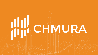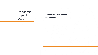#### Pandemic Impact Data

- **EXPLOSED IMPACT In the CSPDC Region**
- **Recovery Path**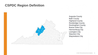#### **CSPDC Region Definition**



Augusta County Bath County Highland County Rockbridge County Rockingham County Buena Vista City Harrisonburg City Lexington City Staunton City Waynesboro City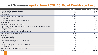## **Impact Summary April - June 2020: 10.7% of Workforce Lost**

|                                                                          | Q2 Job Change  | <b>Q2 GDP Impact (\$Million)</b> |
|--------------------------------------------------------------------------|----------------|----------------------------------|
| <b>Accommodation and Food Services</b>                                   | $-6,699$       | $ $72.3$                         |
| <b>Educational Services</b>                                              | $-1,415$       | $-$ \$23.8                       |
| <b>Retail Trade</b>                                                      | $-1,411$       | $-$16.8$                         |
| <b>Health Care and Social Assistance</b>                                 | $-1,044$       | $-$16.6$                         |
| Construction                                                             | $-942$         | $-$18.6$                         |
| Other Services (except Public Administration)                            | $-756$         | $-$ \$8.4                        |
| Manufacturing                                                            | $-710$         | $-$ \$54.0                       |
| Arts, Entertainment, and Recreation                                      | $-622$         | $-$ \$8.6                        |
| Administrative and Support and Waste Management and Remediation Services | $-382$         | $-$ \$5.4                        |
| <b>Wholesale Trade</b>                                                   | $-272$         | $-$ \$8.8                        |
| Real Estate and Rental and Leasing                                       | $-258$         | $-$ \$64.4                       |
| Professional, Scientific, and Technical Services                         | $-231$         | $-$ \$5.1                        |
| <b>Transportation and Warehousing</b>                                    | $-200$         | $-$ \$6.0                        |
| Information                                                              | $-174$         | $-$ \$3.9                        |
| <b>Public Administration</b>                                             | $-105$         | $-$ \$2.0                        |
| Finance and Insurance                                                    | $-103$         | $-$ \$2.9                        |
| Management of Companies and Enterprises                                  | $-90$          | $-$1.9$                          |
| <b>Utilities</b>                                                         | $-62$          | $-$ \$5.0                        |
| Mining, Quarrying, and Oil and Gas Extraction                            | $\overline{0}$ | \$0.1                            |
| Unclassified                                                             | 16             | \$0.4                            |
| Agriculture, Forestry, Fishing and Hunting                               | 367            | \$8.9                            |
| <b>Total</b>                                                             | $-15,092$      | $-$ \$315.0                      |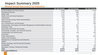## **Impact Summary 2020**

#### **Mixed Initial Recovery by Industry**

|                                                                          | Q2 Job Change  | Q3 Job Change | Q4 Job Change |
|--------------------------------------------------------------------------|----------------|---------------|---------------|
| <b>Accommodation and Food Services</b>                                   | $-6,699$       | 3,082         | 1,518         |
| <b>Educational Services</b>                                              | $-1,415$       | $-665$        | $-11$         |
| <b>Retail Trade</b>                                                      | $-1,411$       | 816           | 213           |
| <b>Health Care and Social Assistance</b>                                 | $-1,044$       | 161           | 120           |
| Construction                                                             | $-942$         | 10            | 238           |
| Other Services (except Public Administration)                            | $-756$         | 413           | 157           |
| Manufacturing                                                            | $-710$         | $-9$          | 470           |
| Arts, Entertainment, and Recreation                                      | $-622$         | 74            | 208           |
| Administrative and Support and Waste Management and Remediation Services | $-382$         | 347           | $-27$         |
| <b>Wholesale Trade</b>                                                   | $-272$         | $-125$        | 56            |
| Real Estate and Rental and Leasing                                       | $-258$         | 33            | 20            |
| Professional, Scientific, and Technical Services                         | $-231$         | 27            | 26            |
| <b>Transportation and Warehousing</b>                                    | $-200$         | 145           | $-139$        |
| Information                                                              | $-174$         | 7             | $-9$          |
| <b>Public Administration</b>                                             | $-105$         | 286           | $-206$        |
| <b>Finance and Insurance</b>                                             | $-103$         | $-39$         | 6             |
| Management of Companies and Enterprises                                  | $-90$          | $-38$         | $-3$          |
| <b>Utilities</b>                                                         | $-62$          | $-4$          | 11            |
| Mining, Quarrying, and Oil and Gas Extraction                            | $\overline{0}$ | $-1$          | 3             |
| Unclassified                                                             | 16             | 40            | $-60$         |
| Agriculture, Forestry, Fishing and Hunting                               | 367            | $-99$         | 100           |
| <b>Total</b>                                                             | $-15,092$      | 4,462         | 2,693         |
| <b>GDP Impact (\$Millions)</b>                                           | $-$ \$315.0    | \$58.2        | \$38.7        |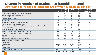## **Change in Number of Businesses (Establishments)**

**Other Services includes personal care and private household employment**

|                                                                          | 2019  | 2020           | 2020  | 2020  | Net Change,      |
|--------------------------------------------------------------------------|-------|----------------|-------|-------|------------------|
|                                                                          | Q4    | Q <sub>1</sub> | Q2    | Q3    | 2019Q4 to 2020Q3 |
| Other Services (except Public Administration)                            | 857   | 813            | 808   | 808   | $-49$            |
| <b>Transportation and Warehousing</b>                                    | 344   | 323            | 316   | 316   | $-28$            |
| <b>Wholesale Trade</b>                                                   | 292   | 281            | 276   | 275   | $-17$            |
| Finance and Insurance                                                    | 389   | 383            | 384   | 382   | $-7$             |
| Manufacturing                                                            | 346   | 341            | 342   | 339   | $-7$             |
| Agriculture, Forestry, Fishing and Hunting                               | 142   | 138            | 138   | 138   | $-4$             |
| <b>Accommodation and Food Services</b>                                   | 659   | 668            | 652   | 656   | $-3$             |
| Administrative and Support and Waste Management and Remediation Services | 350   | 349            | 346   | 347   | $-3$             |
| <b>Public Administration</b>                                             | 244   | 245            | 245   | 243   | $-1$             |
| Arts, Entertainment, and Recreation                                      |       | 106            | 108   | 107   |                  |
| Mining, Quarrying, and Oil and Gas Extraction                            | 10    | 11             | 11    | 11    |                  |
| Professional, Scientific, and Technical Services                         | 549   | 552            | 549   | 550   |                  |
| <b>Utilities</b>                                                         | 31    | 31             | 32    | 32    |                  |
| <b>Educational Services</b>                                              | 105   | 106            | 107   | 108   | 3                |
| <b>Management of Companies and Enterprises</b>                           | 43    | 43             | 45    | 46    | 3                |
| Real Estate and Rental and Leasing                                       | 283   | 289            | 287   | 287   | 4                |
| Information                                                              | 97    | 107            | 103   | 102   | 5                |
| <b>Retail Trade</b>                                                      | 1,003 | 1,007          | 1,007 | 1,008 | 5                |
| Construction                                                             | 859   | 859            | 860   | 869   | 10 <sup>°</sup>  |
| Unclassified                                                             | 110   | 124            | 136   | 146   | 36               |
| <b>Health Care and Social Assistance</b>                                 | 1,546 | 1,550          | 1,589 | 1,604 | 58               |
| <b>Total</b>                                                             | 8,365 | 8,326          | 8,341 | 8,374 | 9                |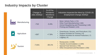### **Industry Impacts by Cluster**

|                 | Change in<br>Jobs 2020Q2 | % of Pre-<br><b>Pandemic</b><br><b>Workforce</b><br>Change | Industries Impacted the Most by COVID-19,<br><b>Employment Change 2020Q2</b>                                                                                  |
|-----------------|--------------------------|------------------------------------------------------------|---------------------------------------------------------------------------------------------------------------------------------------------------------------|
| Manufacturing   | $-710$                   | $-3.4\%$                                                   | Motor Vehicle Parts (-174)<br>Other Food Manufacturing (-160)<br>Animal Slaughtering and Processing (-146)<br>Printing and Related (-124)                     |
| Agriculture     | $+367$                   | $+7.8%$                                                    | Greenhouse, Nursery, and Floriculture (-51)<br><b>Support Activities for Forestry (-8)</b><br>Support Activities for Animal Production (-7)<br>Logging $(-4)$ |
| <u> Fourism</u> | $-7,641$                 | $-39.1%$                                                   | Restaurants (-3,938)<br><b>Traveler Accommodation (-1,929)</b><br><b>Special Food Services (-749)</b><br>Other Amusement and Recreation (-230)                |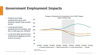### **Government Employment Impacts**

- **E** Federal and state employment grew and declined slower than private sector
- Local government employment hit hardest, lost 9% (1,200 jobs) by 2020Q3
- Local and state government employment lagging private sector recovery



*Source: Chmura Shaded bars indicate recessions*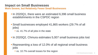#### **Impact on Small Businesses**

**More Severe, but Relatively Fewer Small Businesses**

- In 2020Q1, there were an estimated 6,396 small business establishments in the CSPDC region
- Small businesses employed 41,865 workers (29.7% of all jobs)
	- vs. 41.7% of all jobs in the state
- **In 2020Q2, Chmura estimates 5,007 small business jobs lost**
- Representing a loss of 12.0% of all regional small business jobs
	- vs. 10.7% overall losses for the region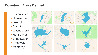#### **Downtown Areas Defined**

- **Buena Vista**
- **Harrisonburg**
- **Lexington**
- **E** Staunton
- **· Waynesboro**
- **Hot Springs**
- **Bridgewater**
- **Broadway**
- **Monterey**

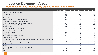#### **Impact on Downtown Areas**

#### **Food, retail, offices impacted by stay-at-home/ remote work**

|                                                                          | Q2 Job Change  | Q3 Job Change  | Q4 Job Change |
|--------------------------------------------------------------------------|----------------|----------------|---------------|
| <b>Accommodation and Food Services</b>                                   | $-1,146$       | 702            | 230           |
| <b>Educational Services</b>                                              | $-237$         | $-166$         | 161           |
| Information                                                              | $-97$          | 13             | $-3$          |
| <b>Retail Trade</b>                                                      | $-66$          | 40             | 26            |
| Management of Companies and Enterprises                                  | $-57$          | $-2$           | -1            |
| <b>Other Services (except Public Administration)</b>                     | $-53$          | 36             | 11            |
| Professional, Scientific, and Technical Services                         | $-50$          | $-4$           | 9             |
| <b>Transportation and Warehousing</b>                                    | $-45$          | 28             | $-23$         |
| Manufacturing                                                            | $-31$          | $-4$           | 12            |
| Arts, Entertainment, and Recreation                                      | $-30$          | 23             | 3             |
| <b>Health Care and Social Assistance</b>                                 | $-30$          | 15             | $-3$          |
| <b>Public Administration</b>                                             | $-27$          | 49             | 15            |
| Construction                                                             | $-24$          | 6              |               |
| Real Estate and Rental and Leasing                                       | $-19$          | $\overline{ }$ | 4             |
| <b>Finance and Insurance</b>                                             | $-14$          | $-6$           |               |
| Administrative and Support and Waste Management and Remediation Services | $-9$           | $-1$           | $-2$          |
| Agriculture, Forestry, Fishing and Hunting                               | $-4$           | $\overline{2}$ |               |
| <b>Wholesale Trade</b>                                                   | $-4$           | $-3$           |               |
| <b>Utilities</b>                                                         | $\overline{0}$ |                | $\Omega$      |
| Mining, Quarrying, and Oil and Gas Extraction                            | 0              | $\overline{0}$ | 0             |
| Unclassified                                                             |                | $\overline{2}$ | $-5$          |
| <b>Total</b>                                                             | $-1,941$       | 737            | 438           |

© 2021 Chmura Economics & Analytics 11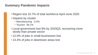#### **Summary Pandemic Impacts**

- Region lost 10.7% of total workforce April-June 2020
- **Impacts by cluster:** 
	- Manufacturing -3.4%
	- Tourism -39.1%
- Local government lost 9% by 2020Q3, recovering more slowly than private sector
- 12.0% of jobs in small businesses lost
- 14.4% of jobs in downtown areas lost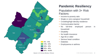

## **Pandemic Resiliency**

Population with 3+ Risk Factors:

- **·** Income-to-poverty ratio
- **Burgally Single or zero-caregiver household**
- **Crowding/high-density residence**
- **EXECOMMUNICATED EXECUTE:**
- **No full-time employed person in** household
- **Disability**
- No health insurance
- Age 65 or older
- **EXEC** Serious heart condition
- Diabetes
- **Emphysema or asthma**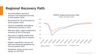## **Regional Recovery Path**

- Accommodation and food services and retail lead recovery in third quarter 2020
- Recovered 44.7% of lost jobs by fourth quarter 2020
- Vaccine availability and federal relief boost recovery in 2021
- Mid-year 2021, region projected to recovery 62.9% of lost jobs
- Recovery is slightly slower than national average due to industry mix
- Region expected to recover all jobs lost during the pandemic by second quarter 2022
- Downtown areas recover more slowly, by mid 2023

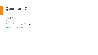# **Questions?**

Patrick Clapp Economist Chmura Economics & Analytics [patrick.clapp@chmuraecon.com](mailto:patrick.clapp@chmuraecon.com)